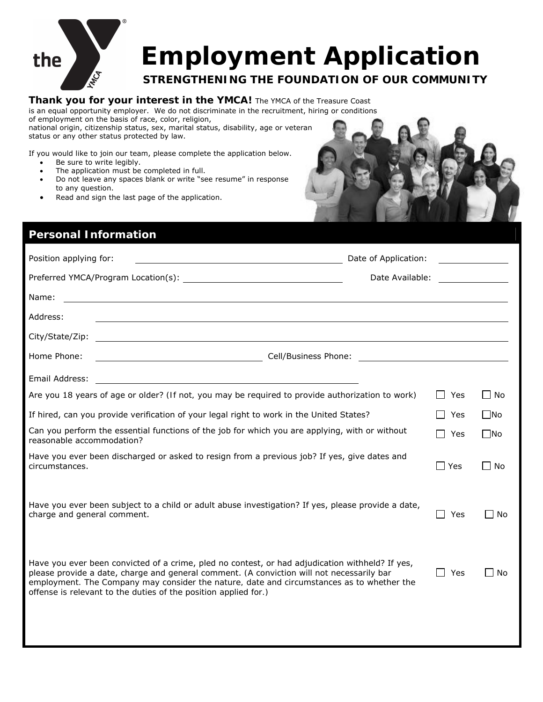

# **Employment Application**

### **STRENGTHENING THE FOUNDATION OF OUR COMMUNITY**

#### **Thank you for your interest in the YMCA!** The YMCA of the Treasure Coast is an equal opportunity employer. We do not discriminate in the recruitment, hiring or conditions

of employment on the basis of race, color, religion,

national origin, citizenship status, sex, marital status, disability, age or veteran status or any other status protected by law.

If you would like to join our team, please complete the application below.

- Be sure to write legibly.
- The application must be completed in full.
- Do not leave any spaces blank or write "see resume" in response to any question.
- Read and sign the last page of the application.

## **Personal Information**  Position applying for:  $\blacksquare$ Preferred YMCA/Program Location(s):  $\qquad \qquad \qquad \qquad$  Date Available:  $\qquad \qquad \qquad$ Name: Address: City/State/Zip: Home Phone: Cell/Business Phone: Email Address: Are you 18 years of age or older? *(If not, you may be required to provide authorization to work)*  $\Box$  Yes  $\Box$  No If hired, can you provide verification of your legal right to work in the United States?  $\Box$  Yes  $\Box$  No Can you perform the essential functions of the job for which you are applying, with or without  $\Box$  Yes  $\Box$ No<br>reasonable accommodation? Have you ever been discharged or asked to resign from a previous job? If yes, give dates and circumstances.  $\Box$  No Have you ever been subject to a child or adult abuse investigation? If yes, please provide a date, charge and general comment.  $\Box$  Yes  $\Box$  No Have you ever been convicted of a crime, pled no contest, or had adjudication withheld? If yes, please provide a date, charge and general comment. *(A conviction will not necessarily bar employment. The Company may consider the nature, date and circumstances as to whether the*   $\Box$  Yes  $\Box$  No

*offense is relevant to the duties of the position applied for.)*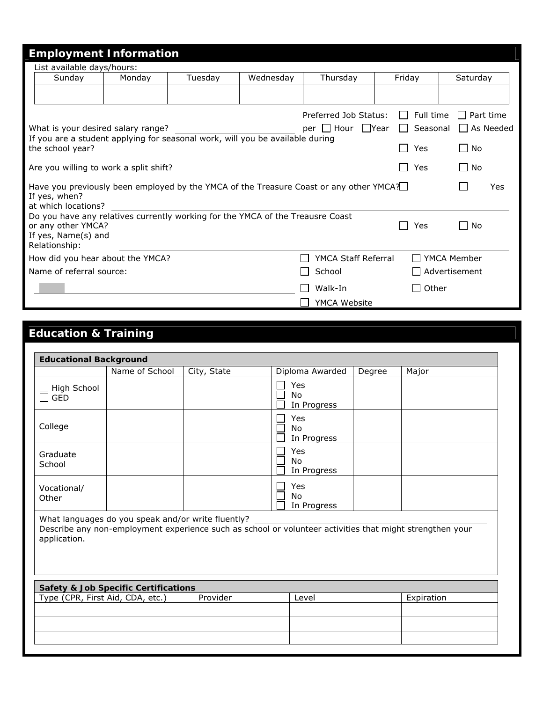| <b>Employment Information</b>                                                                                                                |        |         |           |                                                                                        |                  |                      |  |
|----------------------------------------------------------------------------------------------------------------------------------------------|--------|---------|-----------|----------------------------------------------------------------------------------------|------------------|----------------------|--|
| List available days/hours:                                                                                                                   |        |         |           |                                                                                        |                  |                      |  |
| Sunday                                                                                                                                       | Monday | Tuesday | Wednesday | Thursday                                                                               | Friday           | Saturday             |  |
|                                                                                                                                              |        |         |           |                                                                                        |                  |                      |  |
|                                                                                                                                              |        |         |           | Preferred Job Status:                                                                  | $\Box$ Full time | Part time            |  |
| What is your desired salary range?                                                                                                           |        |         |           | per   Hour   Year   Seasonal   As Needed                                               |                  |                      |  |
| If you are a student applying for seasonal work, will you be available during                                                                |        |         |           |                                                                                        |                  |                      |  |
| the school year?                                                                                                                             |        |         |           |                                                                                        | Yes              | $\Box$ No            |  |
| Are you willing to work a split shift?                                                                                                       |        |         |           |                                                                                        | <b>Yes</b>       | l I No               |  |
| If yes, when?<br>at which locations?                                                                                                         |        |         |           | Have you previously been employed by the YMCA of the Treasure Coast or any other YMCA? |                  | Yes                  |  |
| Do you have any relatives currently working for the YMCA of the Treausre Coast<br>or any other YMCA?<br>If yes, Name(s) and<br>Relationship: |        |         |           |                                                                                        | Yes              | $\Box$ No            |  |
| How did you hear about the YMCA?                                                                                                             |        |         |           | YMCA Staff Referral                                                                    |                  | □ YMCA Member        |  |
| Name of referral source:                                                                                                                     |        |         |           | School                                                                                 |                  | $\Box$ Advertisement |  |
|                                                                                                                                              |        |         |           | Walk-In                                                                                | $\Box$ Other     |                      |  |
|                                                                                                                                              |        |         |           | YMCA Website                                                                           |                  |                      |  |

### **Education & Training**

| <b>Educational Background</b>                                                                                                                                                  |                |             |                                 |        |            |
|--------------------------------------------------------------------------------------------------------------------------------------------------------------------------------|----------------|-------------|---------------------------------|--------|------------|
|                                                                                                                                                                                | Name of School | City, State | Diploma Awarded                 | Degree | Major      |
| High School<br><b>GED</b>                                                                                                                                                      |                |             | Yes<br><b>No</b><br>In Progress |        |            |
| College                                                                                                                                                                        |                |             | Yes<br><b>No</b><br>In Progress |        |            |
| Graduate<br>School                                                                                                                                                             |                |             | Yes<br>No<br>In Progress        |        |            |
| Vocational/<br>Other                                                                                                                                                           |                |             | Yes<br><b>No</b><br>In Progress |        |            |
| What languages do you speak and/or write fluently?<br>Describe any non-employment experience such as school or volunteer activities that might strengthen your<br>application. |                |             |                                 |        |            |
| <b>Safety &amp; Job Specific Certifications</b>                                                                                                                                |                |             |                                 |        |            |
| Type (CPR, First Aid, CDA, etc.)                                                                                                                                               |                | Provider    | Level                           |        | Expiration |
|                                                                                                                                                                                |                |             |                                 |        |            |
|                                                                                                                                                                                |                |             |                                 |        |            |
|                                                                                                                                                                                |                |             |                                 |        |            |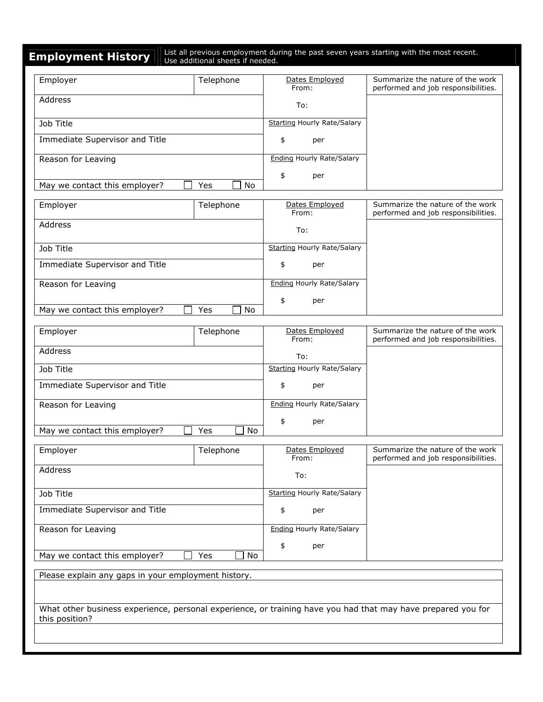**Employment History**  $\parallel$  List all previous employment during the past seven years starting with the most recent.

| Employer                       | Telephone | Dates Employed                     | Summarize the nature of the work    |
|--------------------------------|-----------|------------------------------------|-------------------------------------|
|                                |           | From:                              | performed and job responsibilities. |
| Address                        |           | To:                                |                                     |
|                                |           |                                    |                                     |
| Job Title                      |           | <b>Starting Hourly Rate/Salary</b> |                                     |
| Immediate Supervisor and Title |           | \$<br>per                          |                                     |
| Reason for Leaving             |           | <b>Ending Hourly Rate/Salary</b>   |                                     |
|                                |           | \$<br>per                          |                                     |
| May we contact this employer?  | Yes<br>No |                                    |                                     |
| Employer                       | Telephone | Dates Employed<br>From:            | Summarize the nature of the work    |
| Address                        |           |                                    | performed and job responsibilities. |
|                                |           | To:                                |                                     |
| <b>Job Title</b>               |           | <b>Starting Hourly Rate/Salary</b> |                                     |
| Immediate Supervisor and Title |           | \$<br>per                          |                                     |
| Reason for Leaving             |           | <b>Ending Hourly Rate/Salary</b>   |                                     |
|                                |           | \$<br>per                          |                                     |
| May we contact this employer?  | Yes<br>No |                                    |                                     |
| Employer                       | Telephone | Dates Employed                     | Summarize the nature of the work    |
| Address                        |           | From:                              | performed and job responsibilities. |
|                                |           | To:                                |                                     |
| Job Title                      |           | <b>Starting Hourly Rate/Salary</b> |                                     |
| Immediate Supervisor and Title |           | \$<br>per                          |                                     |
| Reason for Leaving             |           | <b>Ending Hourly Rate/Salary</b>   |                                     |
|                                |           | \$<br>per                          |                                     |
| May we contact this employer?  | Yes<br>No |                                    |                                     |
| Employer                       | Telephone | Dates Employed                     | Summarize the nature of the work    |
|                                |           | From:                              | performed and job responsibilities. |
| Address                        |           | To:                                |                                     |
| Job Title                      |           | <b>Starting Hourly Rate/Salary</b> |                                     |
| Immediate Supervisor and Title |           | \$<br>per                          |                                     |
| Reason for Leaving             |           | <b>Ending Hourly Rate/Salary</b>   |                                     |

May we contact this employer?  $\Box$  Yes  $\Box$  No

Please explain any gaps in your employment history.

What other business experience, personal experience, or training have you had that may have prepared you for this position?

\$ per